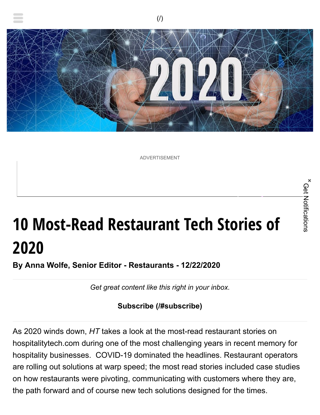

ADVERTISEMENT

# **10 Most-Read Restaurant Tech Stories of 2020**

**By Anna Wolfe, Senior Editor - Restaurants - 12/22/2020**

*Get great content like this right in your inbox.*

**[Subscribe \(/#subscribe\)](https://hospitalitytech.com/#subscribe)**

As 2020 winds down, *HT* takes a look at the most-read restaurant stories on hospitalitytech.com during one of the most challenging years in recent memory for hospitality businesses. COVID-19 dominated the headlines. Restaurant operators are rolling out solutions at warp speed; the most read stories included case studies on how restaurants were pivoting, communicating with customers where they are, the path forward and of course new tech solutions designed for the times.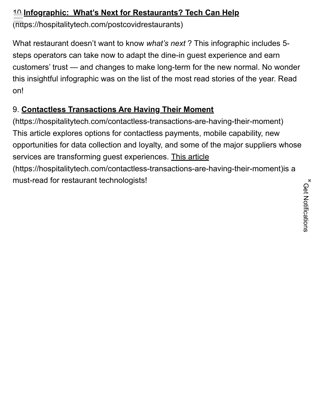#### 10 **[Infographic: What's Next for Restaurants? Tech Can Help](https://hospitalitytech.com/postcovidrestaurants)**

(https://hospitalitytech.com/postcovidrestaurants)

What restaurant doesn't want to know *what's next* ? This infographic includes 5 steps operators can take now to adapt the dine-in guest experience and earn customers' trust — and changes to make long-term for the new normal. No wonder this insightful infographic was on the list of the most read stories of the year. Read on!

### 9. **Contactless Transactions Are Having Their Moment**

[\(https://hospitalitytech.com/contactless-transactions-are-having-their-moment\)](https://hospitalitytech.com/contactless-transactions-are-having-their-moment) This article explores options for contactless payments, mobile capability, new opportunities for data collection and loyalty, and some of the major suppliers whose services are transforming quest experiences. This article [\(https://hospitalitytech.com/contactless-transactions-are-having-their-moment\)](https://hospitalitytech.com/contactless-transactions-are-having-their-moment)is a must-read for restaurant technologists!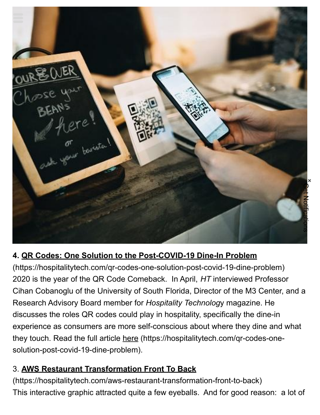

#### **4. QR Codes: One Solution to the Post-COVID-19 Dine-In Problem**

[\(https://hospitalitytech.com/qr-codes-one-solution-post-covid-19-dine-problem\)](https://hospitalitytech.com/qr-codes-one-solution-post-covid-19-dine-problem) 2020 is the year of the QR Code Comeback. In April, *HT* interviewed Professor Cihan Cobanoglu of the University of South Florida, Director of the M3 Center, and a Research Advisory Board member for *Hospitality Technolog*y magazine. He discusses the roles QR codes could play in hospitality, specifically the dine-in experience as consumers are more self-conscious about where they dine and what [they touch. Read the full article here \(https://hospitalitytech.com/qr-codes-one](https://hospitalitytech.com/qr-codes-one-solution-post-covid-19-dine-problem)solution-post-covid-19-dine-problem). **4. QR Codes: One Solution to the Post-COVID-19 Dine-In Problem**<br>(https://hospitalitytech.com/qr-codes-one-solution-post-covid-19-dine-problem)<br>2020 is the year of the QR Code Comeback. In April, *HT* interviewed Professor

#### 3. **AWS Restaurant Transformation Front To Back**

[\(https://hospitalitytech.com/aws-restaurant-transformation-front-to-back\)](https://hospitalitytech.com/aws-restaurant-transformation-front-to-back)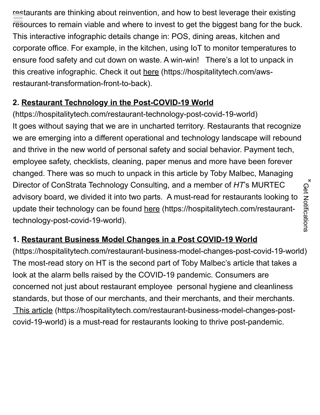restaurants are thinking about reinvention, and how to best leverage their existing resources to remain viable and where to invest to get the biggest bang for the buck. This interactive infographic details change in: POS, dining areas, kitchen and corporate office. For example, in the kitchen, using IoT to monitor temperatures to ensure food safety and cut down on waste. A win-win! There's a lot to unpack in [this creative infographic. Check it out here \(https://hospitalitytech.com/aws](https://hospitalitytech.com/aws-restaurant-transformation-front-to-back)restaurant-transformation-front-to-back).

#### **2. Restaurant Technology in the Post-COVID-19 World**

[\(https://hospitalitytech.com/restaurant-technology-post-covid-19-world\)](https://hospitalitytech.com/restaurant-technology-post-covid-19-world) It goes without saying that we are in uncharted territory. Restaurants that recognize we are emerging into a different operational and technology landscape will rebound and thrive in the new world of personal safety and social behavior. Payment tech, employee safety, checklists, cleaning, paper menus and more have been forever changed. There was so much to unpack in this article by Toby Malbec, Managing Director of ConStrata Technology Consulting, and a member of *HT*'s MURTEC advisory board, we divided it into two parts. A must-read for restaurants looking to [update their technology can be found here \(https://hospitalitytech.com/restaurant](https://hospitalitytech.com/restaurant-technology-post-covid-19-world)technology-post-covid-19-world).

#### **1. Restaurant Business Model Changes in a Post COVID-19 World**

[\(https://hospitalitytech.com/restaurant-business-model-changes-post-covid-19-world\)](https://hospitalitytech.com/restaurant-business-model-changes-post-covid-19-world) The most-read story on HT is the second part of Toby Malbec's article that takes a look at the alarm bells raised by the COVID-19 pandemic. Consumers are concerned not just about restaurant employee personal hygiene and cleanliness standards, but those of our merchants, and their merchants, and their merchants. [This article \(https://hospitalitytech.com/restaurant-business-model-changes-post](https://hospitalitytech.com/restaurant-business-model-changes-post-covid-19-world)covid-19-world) is a must-read for restaurants looking to thrive post-pandemic.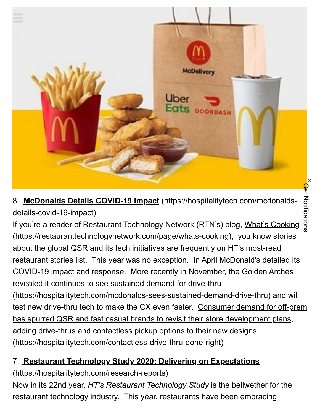**Get Notifications** Get Notifications

**×**



8. **McDonalds Details COVID-19 Impact** [\(https://hospitalitytech.com/mcdonalds](https://hospitalitytech.com/mcdonalds-details-covid-19-impact)details-covid-19-impact)

[If you're a reader of Restaurant Technology Network \(RTN's\) blog, What's Cooking](https://restauranttechnologynetwork.com/page/whats-cooking) (https://restauranttechnologynetwork.com/page/whats-cooking), you know stories about the global QSR and its tech initiatives are frequently on HT's most-read restaurant stories list. This year was no exception. In April McDonald's detailed its COVID-19 impact and response. More recently in November, the Golden Arches revealed it continues to see sustained demand for drive-thru [\(https://hospitalitytech.com/mcdonalds-sees-sustained-demand-drive-thru\)](https://hospitalitytech.com/mcdonalds-sees-sustained-demand-drive-thru) and will [test new drive-thru tech to make the CX even faster. Consumer demand for off-prem](https://hospitalitytech.com/contactless-drive-thru-done-right) has spurred QSR and fast casual brands to revisit their store development plans,

adding drive-thrus and contactless pickup options to their new designs.

(https://hospitalitytech.com/contactless-drive-thru-done-right)

### 7. **[Restaurant Technology Study 2020: Delivering on Expectations](https://hospitalitytech.com/research-reports)**

(https://hospitalitytech.com/research-reports)

Now in its 22nd year, *HT's Restaurant Technology Study* is the bellwether for the restaurant technology industry. This year, restaurants have been embracing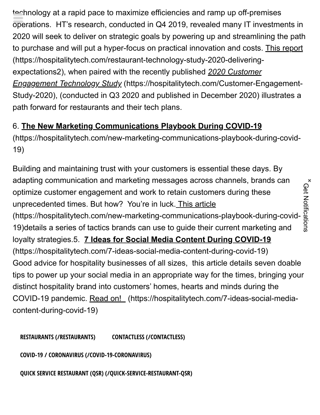technology at a rapid pace to maximize efficiencies and ramp up off-premises operations. HT's research, conducted in Q4 2019, revealed many IT investments in 2020 will seek to deliver on strategic goals by powering up and streamlining the path [to purchase and will put a hyper-focus on practical innovation and costs. This report](https://hospitalitytech.com/restaurant-technology-study-2020-delivering-expectations2) (https://hospitalitytech.com/restaurant-technology-study-2020-deliveringexpectations2), when paired with the recently published *2020 Customer Engagement Technology Study* (https://hospitalitytech.com/Customer-Engagement-[Study-2020\), \(conducted in Q3 2020 and published in December 2020\) illustrates a](https://hospitalitytech.com/Customer-Engagement-Study-2020) path forward for restaurants and their tech plans.

### 6. **The New Marketing Communications Playbook During COVID-19**

[\(https://hospitalitytech.com/new-marketing-communications-playbook-during-covid-](https://hospitalitytech.com/new-marketing-communications-playbook-during-covid-19)19)

Building and maintaining trust with your customers is essential these days. By adapting communication and marketing messages across channels, brands can optimize customer engagement and work to retain customers during these unprecedented times. But how? You're in luck. This article [\(https://hospitalitytech.com/new-marketing-communications-playbook-during-covid-](https://hospitalitytech.com/new-marketing-communications-playbook-during-covid-19)19)details a series of tactics brands can use to guide their current marketing and loyalty strategies.5. **7 Ideas for Social Media Content During COVID-19** [\(https://hospitalitytech.com/7-ideas-social-media-content-during-covid-19\)](https://hospitalitytech.com/7-ideas-social-media-content-during-covid-19) Good advice for hospitality businesses of all sizes, this article details seven doable tips to power up your social media in an appropriate way for the times, bringing your distinct hospitality brand into customers' homes, hearts and minds during the [COVID-19 pandemic. Read on! \(https://hospitalitytech.com/7-ideas-social-media](https://hospitalitytech.com/7-ideas-social-media-content-during-covid-19)content-during-covid-19)

**[RESTAURANTS \(/RESTAURANTS\)](https://hospitalitytech.com/restaurants) [CONTACTLESS \(/CONTACTLESS\)](https://hospitalitytech.com/contactless)**

**[COVID-19 / CORONAVIRUS \(/COVID-19-CORONAVIRUS\)](https://hospitalitytech.com/covid-19-coronavirus)**

**[QUICK SERVICE RESTAURANT \(QSR\) \(/QUICK-SERVICE-RESTAURANT-QSR\)](https://hospitalitytech.com/quick-service-restaurant-qsr)**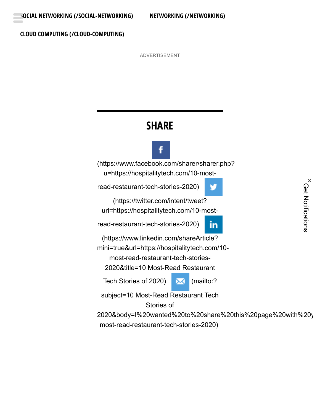#### **[CLOUD COMPUTING \(/CLOUD-COMPUTING\)](https://hospitalitytech.com/cloud-computing)**

ADVERTISEMENT

### **SHARE**

[\(https://www.facebook.com/sharer/sharer.php?](https://www.facebook.com/sharer/sharer.php?u=https://hospitalitytech.com/10-most-read-restaurant-tech-stories-2020) u=https://hospitalitytech.com/10-most-

read-restaurant-tech-stories-2020)

(https://twitter.com/intent/tweet? [url=https://hospitalitytech.com/10-most-](https://twitter.com/intent/tweet?url=https://hospitalitytech.com/10-most-read-restaurant-tech-stories-2020)

read-restaurant-tech-stories-2020)

(https://www.linkedin.com/shareArticle?

[mini=true&url=https://hospitalitytech.com/10-](https://www.linkedin.com/shareArticle?mini=true&url=https://hospitalitytech.com/10-most-read-restaurant-tech-stories-2020&title=10%20Most-Read%20Restaurant%20Tech%20Stories%20of%202020)

most-read-restaurant-tech-stories-

2020&title=10 Most-Read Restaurant

Tech Stories of 2020) **X** (mailto:?

v

in

subject=10 Most-Read Restaurant Tech

Stories of

[2020&body=I%20wanted%20to%20share%20this%20page%20with%20y](mailto:?subject=10%20Most-Read%20Restaurant%20Tech%20Stories%20of%202020&body=I%20wanted%20to%20share%20this%20page%20with%20you.%20%20https://hospitalitytech.com/10-most-read-restaurant-tech-stories-2020) most-read-restaurant-tech-stories-2020)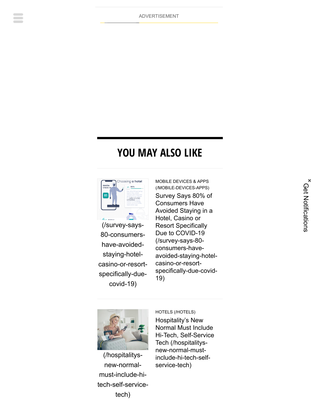ADVERTISEMENT

### **YOU MAY ALSO LIKE**



(/survey-says-80-consumershave-avoidedstaying-hotel[casino-or-resort](https://hospitalitytech.com/survey-says-80-consumers-have-avoided-staying-hotel-casino-or-resort-specifically-due-covid-19)specifically-duecovid-19)

[MOBILE DEVICES & APPS](https://hospitalitytech.com/mobile-devices-apps) (/MOBILE-DEVICES-APPS) Survey Says 80% of Consumers Have Avoided Staying in a Hotel, Casino or Resort Specifically Due to COVID-19 (/survey-says-80 consumers-have[avoided-staying-hotel](https://hospitalitytech.com/survey-says-80-consumers-have-avoided-staying-hotel-casino-or-resort-specifically-due-covid-19)casino-or-resortspecifically-due-covid-19)



(/hospitalitysnew-normalmust-include-hi[tech-self-service](https://hospitalitytech.com/hospitalitys-new-normal-must-include-hi-tech-self-service-tech)tech)

[HOTELS \(/HOTELS\)](https://hospitalitytech.com/hotels) Hospitality's New Normal Must Include [Hi-Tech, Self-Service](https://hospitalitytech.com/hospitalitys-new-normal-must-include-hi-tech-self-service-tech) Tech (/hospitalitysnew-normal-mustinclude-hi-tech-selfservice-tech)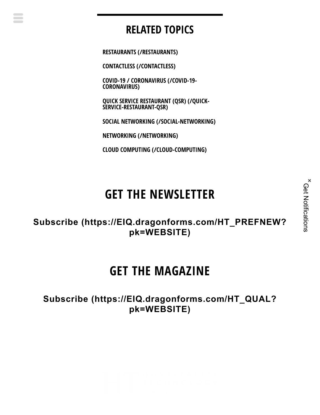### **RELATED TOPICS**

**[RESTAURANTS \(/RESTAURANTS\)](https://hospitalitytech.com/restaurants)**

**[CONTACTLESS \(/CONTACTLESS\)](https://hospitalitytech.com/contactless)**

**[COVID-19 / CORONAVIRUS \(/COVID-19-](https://hospitalitytech.com/covid-19-coronavirus) CORONAVIRUS)**

**[QUICK SERVICE RESTAURANT \(QSR\) \(/QUICK-](https://hospitalitytech.com/quick-service-restaurant-qsr)SERVICE-RESTAURANT-QSR)**

**[SOCIAL NETWORKING \(/SOCIAL-NETWORKING\)](https://hospitalitytech.com/social-networking)**

**[NETWORKING \(/NETWORKING\)](https://hospitalitytech.com/networking)**

**[CLOUD COMPUTING \(/CLOUD-COMPUTING\)](https://hospitalitytech.com/cloud-computing)**

## **GET THE NEWSLETTER**

**Subscribe [\(https://EIQ.dragonforms.com/HT\\_PREFNEW?](https://eiq.dragonforms.com/HT_PREFNEW?pk=WEBSITE) pk=WEBSITE)**

### **GET THE MAGAZINE**

**Subscribe [\(https://EIQ.dragonforms.com/HT\\_QUAL?](https://eiq.dragonforms.com/HT_QUAL?pk=WEBSITE) pk=WEBSITE)**